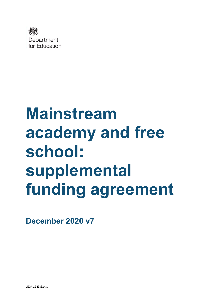

# **Mainstream academy and free school: supplemental funding agreement**

**December 2020 v7**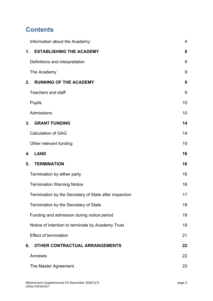# **Contents**

| Information about the Academy:                         | 4  |
|--------------------------------------------------------|----|
| <b>ESTABLISHING THE ACADEMY</b><br>1.                  | 8  |
| Definitions and interpretation                         | 8  |
| The Academy                                            | 9  |
| <b>RUNNING OF THE ACADEMY</b><br>2.                    | 9  |
| <b>Teachers and staff</b>                              | 9  |
| <b>Pupils</b>                                          | 10 |
| Admissions                                             | 10 |
| 3.<br><b>GRANT FUNDING</b>                             | 14 |
| <b>Calculation of GAG</b>                              | 14 |
| Other relevant funding                                 | 15 |
| <b>LAND</b><br>4.                                      | 16 |
| <b>TERMINATION</b><br>5.                               | 16 |
| Termination by either party                            | 16 |
| <b>Termination Warning Notice</b>                      | 16 |
| Termination by the Secretary of State after inspection | 17 |
| Termination by the Secretary of State                  | 18 |
| Funding and admission during notice period             | 18 |
| Notice of intention to terminate by Academy Trust      | 19 |
| <b>Effect of termination</b>                           | 21 |
| OTHER CONTRACTUAL ARRANGEMENTS<br>6.                   | 22 |
| Annexes                                                | 22 |
| The Master Agreement                                   | 23 |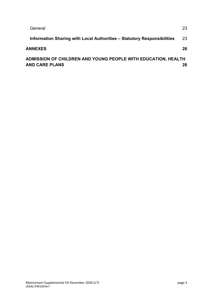| General                                                                         | 23 |
|---------------------------------------------------------------------------------|----|
| Information Sharing with Local Authorities - Statutory Responsibilities         | 23 |
| <b>ANNEXES</b>                                                                  | 26 |
| ADMISSION OF CHILDREN AND YOUNG PEOPLE WITH EDUCATION, HEALTH<br>AND CARE PLANS | 26 |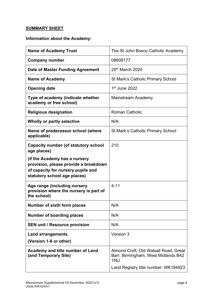#### **SUMMARY SHEET**

# <span id="page-3-0"></span>**Information about the Academy:**

| <b>Name of Academy Trust</b>                                                                                                                 | The St John Bosco Catholic Academy                                                  |
|----------------------------------------------------------------------------------------------------------------------------------------------|-------------------------------------------------------------------------------------|
| <b>Company number</b>                                                                                                                        | 08608177                                                                            |
| Date of Master Funding Agreement                                                                                                             | 25th March 2020                                                                     |
| <b>Name of Academy</b>                                                                                                                       | St Mark's Catholic Primary School                                                   |
| <b>Opening date</b>                                                                                                                          | $1st$ June 2022                                                                     |
| Type of academy (indicate whether<br>academy or free school)                                                                                 | Mainstream Academy                                                                  |
| <b>Religious designation</b>                                                                                                                 | <b>Roman Catholic</b>                                                               |
| Wholly or partly selective                                                                                                                   | N/A                                                                                 |
| Name of predecessor school (where<br>applicable)                                                                                             | <b>St Mark's Catholic Primary School</b>                                            |
| <b>Capacity number (of statutory school</b><br>age places)                                                                                   | 210                                                                                 |
| (if the Academy has a nursery<br>provision, please provide a breakdown<br>of capacity for nursery pupils and<br>statutory school age places) |                                                                                     |
| Age range (including nursery<br>provision where the nursery is part of<br>the school)                                                        | $4 - 11$                                                                            |
| Number of sixth form places                                                                                                                  | N/A                                                                                 |
| <b>Number of boarding places</b>                                                                                                             | N/A                                                                                 |
| <b>SEN unit / Resource provision</b>                                                                                                         | N/A                                                                                 |
| <b>Land arrangements</b>                                                                                                                     | Version 3                                                                           |
| (Version 1-8 or other)                                                                                                                       |                                                                                     |
| Academy and title number of Land<br>(and Temporary Site)                                                                                     | Almond Croft, Old Walsall Road, Great<br>Barr, Birmingham, West Midlands B42<br>1NU |
|                                                                                                                                              | Land Registry title number: WK184923                                                |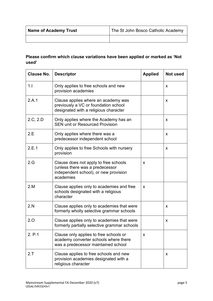| <b>Name of Academy Trust</b> | The St John Bosco Catholic Academy |  |  |
|------------------------------|------------------------------------|--|--|
|                              |                                    |  |  |

#### **Please confirm which clause variations have been applied or marked as 'Not used'**

| <b>Clause No.</b> | <b>Descriptor</b>                                                                                                              | <b>Applied</b> | <b>Not used</b> |
|-------------------|--------------------------------------------------------------------------------------------------------------------------------|----------------|-----------------|
| 1.1               | Only applies to free schools and new<br>provision academies                                                                    |                | X               |
| 2.A.1             | Clause applies where an academy was<br>previously a VC or foundation school<br>designated with a religious character           |                | X               |
| 2.C, 2.D          | Only applies where the Academy has an<br><b>SEN unit or Resourced Provision</b>                                                |                | X               |
| 2.E               | Only applies where there was a<br>predecessor independent school                                                               |                | X               |
| 2.E.1             | Only applies to free Schools with nursery<br>provision                                                                         |                | X               |
| 2.G               | Clause does not apply to free schools<br>(unless there was a predecessor<br>independent school), or new provision<br>academies | X              |                 |
| 2.M               | Clause applies only to academies and free<br>schools designated with a religious<br>character                                  | X              |                 |
| 2.N               | Clause applies only to academies that were<br>formerly wholly selective grammar schools                                        |                | X               |
| 2.0               | Clause applies only to academies that were<br>formerly partially selective grammar schools                                     |                | X               |
| 2. P.1            | Clause only applies to free schools or<br>academy converter schools where there<br>was a predecessor maintained school         | X              |                 |
| 2.7               | Clause applies to free schools and new<br>provision academies designated with a<br>religious character                         |                | X               |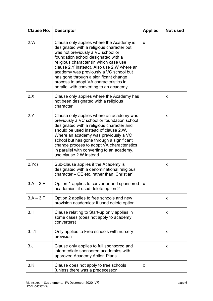| <b>Clause No.</b> | <b>Descriptor</b>                                                                                                                                                                                                                                                                                                                                                                                                                | <b>Applied</b> | <b>Not used</b> |
|-------------------|----------------------------------------------------------------------------------------------------------------------------------------------------------------------------------------------------------------------------------------------------------------------------------------------------------------------------------------------------------------------------------------------------------------------------------|----------------|-----------------|
| 2.W               | Clause only applies where the Academy is<br>designated with a religious character but<br>was not previously a VC school or<br>foundation school designated with a<br>religious character (in which case use<br>clause 2.Y instead). Also use 2.W where an<br>academy was previously a VC school but<br>has gone through a significant change<br>process to adopt VA characteristics in<br>parallel with converting to an academy | X              |                 |
| 2.X               | Clause only applies where the Academy has<br>not been designated with a religious<br>character                                                                                                                                                                                                                                                                                                                                   |                | X               |
| 2.Y               | Clause only applies where an academy was<br>previously a VC school or foundation school<br>designated with a religious character and<br>should be used instead of clause 2.W.<br>Where an academy was previously a VC<br>school but has gone through a significant<br>change process to adopt VA characteristics<br>in parallel with converting to an academy,<br>use clause 2.W instead.                                        |                | X.              |
| 2.Yc)             | Sub-clause applies if the Academy is<br>designated with a denominational religious<br>character – CE etc. rather than 'Christian'                                                                                                                                                                                                                                                                                                |                | x               |
| $3.A - 3.F$       | Option 1 applies to converter and sponsored<br>academies: if used delete option 2                                                                                                                                                                                                                                                                                                                                                | X              |                 |
| $3.A - 3.F$       | Option 2 applies to free schools and new<br>provision academies: if used delete option 1                                                                                                                                                                                                                                                                                                                                         |                | X.              |
| 3.H               | Clause relating to Start-up only applies in<br>some cases (does not apply to academy<br>converters)                                                                                                                                                                                                                                                                                                                              |                | x               |
| 3.1.1             | Only applies to Free schools with nursery<br>provision                                                                                                                                                                                                                                                                                                                                                                           |                | x               |
| 3. J              | Clause only applies to full sponsored and<br>intermediate sponsored academies with<br>approved Academy Action Plans                                                                                                                                                                                                                                                                                                              |                | x               |
| 3.K               | Clause does not apply to free schools<br>(unless there was a predecessor                                                                                                                                                                                                                                                                                                                                                         | X              |                 |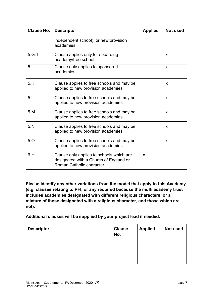| <b>Clause No.</b> | <b>Descriptor</b>                                                                                              | <b>Applied</b> | <b>Not used</b> |
|-------------------|----------------------------------------------------------------------------------------------------------------|----------------|-----------------|
|                   | independent school), or new provision<br>academies                                                             |                |                 |
| 5.G.1             | Clause applies only to a boarding<br>academy/free school.                                                      |                | X               |
| 5.1               | Clause only applies to sponsored<br>academies                                                                  |                | X               |
| 5.K               | Clause applies to free schools and may be<br>applied to new provision academies                                |                | X               |
| 5.L               | Clause applies to free schools and may be<br>applied to new provision academies                                |                | X               |
| 5.M               | Clause applies to free schools and may be<br>applied to new provision academies                                |                | X               |
| 5. N              | Clause applies to free schools and may be<br>applied to new provision academies                                |                | X               |
| 5.0               | Clause applies to free schools and may be<br>applied to new provision academies                                |                | X               |
| 6.H               | Clause only applies to schools which are<br>designated with a Church of England or<br>Roman Catholic character | X              |                 |

**Please identify any other variations from the model that apply to this Academy (e.g. clauses relating to PFI, or any required because the multi academy trust includes academies designated with different religious characters, or a mixture of those designated with a religious character, and those which are not):**

**Additional clauses will be supplied by your project lead if needed.**

| <b>Descriptor</b> | <b>Clause</b><br>No. | <b>Applied</b> | Not used |
|-------------------|----------------------|----------------|----------|
|                   |                      |                |          |
|                   |                      |                |          |
|                   |                      |                |          |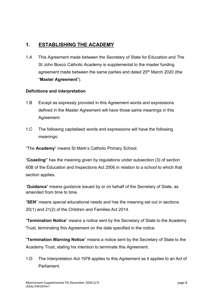# <span id="page-7-0"></span>**1. ESTABLISHING THE ACADEMY**

1.A This Agreement made between the Secretary of State for Education and The St John Bosco Catholic Academy is supplemental to the master funding agreement made between the same parties and dated 25<sup>th</sup> March 2020 (the "**Master Agreement**").

#### <span id="page-7-1"></span>**Definitions and interpretation**

- 1.B Except as expressly provided in this Agreement words and expressions defined in the Master Agreement will have those same meanings in this Agreement.
- 1.C The following capitalised words and expressions will have the following meanings:

"The **Academy**" means St Mark's Catholic Primary School.

"**Coasting"** has the meaning given by regulations under subsection (3) of section 60B of the Education and Inspections Act 2006 in relation to a school to which that section applies.

"**Guidance**" means guidance issued by or on behalf of the Secretary of State, as amended from time to time.

"**SEN**" means special educational needs and has the meaning set out in sections 20(1) and 21(2) of the Children and Families Act 2014.

"**Termination Notice**" means a notice sent by the Secretary of State to the Academy Trust, terminating this Agreement on the date specified in the notice.

"**Termination Warning Notice**" means a notice sent by the Secretary of State to the Academy Trust, stating his intention to terminate this Agreement.

1.D The Interpretation Act 1978 applies to this Agreement as it applies to an Act of **Parliament**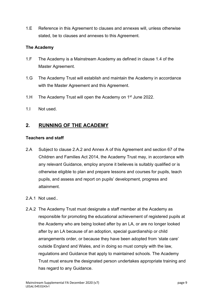1.E Reference in this Agreement to clauses and annexes will, unless otherwise stated, be to clauses and annexes to this Agreement.

#### <span id="page-8-0"></span>**The Academy**

- 1.F The Academy is a Mainstream Academy as defined in clause 1.4 of the Master Agreement.
- 1.G The Academy Trust will establish and maintain the Academy in accordance with the Master Agreement and this Agreement.
- 1.H The Academy Trust will open the Academy on  $1<sup>st</sup>$  June 2022.
- 1.I Not used.

# <span id="page-8-1"></span>**2. RUNNING OF THE ACADEMY**

#### <span id="page-8-2"></span>**Teachers and staff**

- 2.A Subject to clause 2.A.2 and Annex A of this Agreement and section 67 of the Children and Families Act 2014, the Academy Trust may, in accordance with any relevant Guidance, employ anyone it believes is suitably qualified or is otherwise eligible to plan and prepare lessons and courses for pupils, teach pupils, and assess and report on pupils' development, progress and attainment.
- 2.A.1 Not used.
- 2.A.2 The Academy Trust must designate a staff member at the Academy as responsible for promoting the educational achievement of registered pupils at the Academy who are being looked after by an LA, or are no longer looked after by an LA because of an adoption, special guardianship or child arrangements order, or because they have been adopted from 'state care' outside England and Wales, and in doing so must comply with the law, regulations and Guidance that apply to maintained schools. The Academy Trust must ensure the designated person undertakes appropriate training and has regard to any Guidance.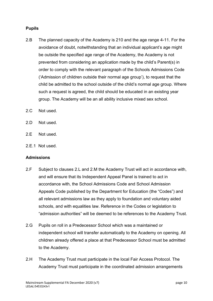#### <span id="page-9-0"></span>**Pupils**

- 2.B The planned capacity of the Academy is 210 and the age range 4-11. For the avoidance of doubt, notwithstanding that an individual applicant's age might be outside the specified age range of the Academy, the Academy is not prevented from considering an application made by the child's Parent(s) in order to comply with the relevant paragraph of the Schools Admissions Code ('Admission of children outside their normal age group'), to request that the child be admitted to the school outside of the child's normal age group. Where such a request is agreed, the child should be educated in an existing year group. The Academy will be an all ability inclusive mixed sex school.
- 2.C Not used.
- 2.D Not used.
- 2.E Not used.
- 2.E.1 Not used.

#### <span id="page-9-1"></span>**Admissions**

- 2.F Subject to clauses 2.L and 2.M the Academy Trust will act in accordance with, and will ensure that its Independent Appeal Panel is trained to act in accordance with, the School Admissions Code and School Admission Appeals Code published by the Department for Education (the "Codes") and all relevant admissions law as they apply to foundation and voluntary aided schools, and with equalities law. Reference in the Codes or legislation to "admission authorities" will be deemed to be references to the Academy Trust.
- 2.G Pupils on roll in a Predecessor School which was a maintained or independent school will transfer automatically to the Academy on opening. All children already offered a place at that Predecessor School must be admitted to the Academy.
- 2.H The Academy Trust must participate in the local Fair Access Protocol. The Academy Trust must participate in the coordinated admission arrangements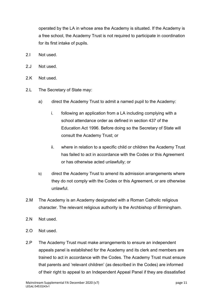operated by the LA in whose area the Academy is situated. If the Academy is a free school, the Academy Trust is not required to participate in coordination for its first intake of pupils.

- 2.I Not used.
- 2.J Not used.
- 2.K Not used.
- 2.L The Secretary of State may:
	- a) direct the Academy Trust to admit a named pupil to the Academy:
		- i. following an application from a LA including complying with a school attendance order as defined in section 437 of the Education Act 1996. Before doing so the Secretary of State will consult the Academy Trust; or
		- ii. where in relation to a specific child or children the Academy Trust has failed to act in accordance with the Codes or this Agreement or has otherwise acted unlawfully; or
	- b) direct the Academy Trust to amend its admission arrangements where they do not comply with the Codes or this Agreement, or are otherwise unlawful.
- 2.M The Academy is an Academy designated with a Roman Catholic religious character. The relevant religious authority is the Archbishop of Birmingham.
- 2.N Not used.
- 2.O Not used.
- 2.P The Academy Trust must make arrangements to ensure an independent appeals panel is established for the Academy and its clerk and members are trained to act in accordance with the Codes. The Academy Trust must ensure that parents and 'relevant children' (as described in the Codes) are informed of their right to appeal to an Independent Appeal Panel if they are dissatisfied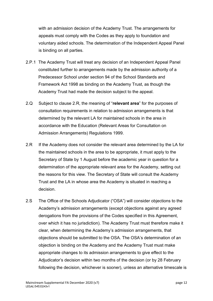with an admission decision of the Academy Trust. The arrangements for appeals must comply with the Codes as they apply to foundation and voluntary aided schools. The determination of the Independent Appeal Panel is binding on all parties.

- 2.P.1 The Academy Trust will treat any decision of an Independent Appeal Panel constituted further to arrangements made by the admission authority of a Predecessor School under section 94 of the School Standards and Framework Act 1998 as binding on the Academy Trust, as though the Academy Trust had made the decision subject to the appeal.
- 2.Q Subject to clause 2.R, the meaning of "**relevant area**" for the purposes of consultation requirements in relation to admission arrangements is that determined by the relevant LA for maintained schools in the area in accordance with the Education (Relevant Areas for Consultation on Admission Arrangements) Regulations 1999.
- 2.R If the Academy does not consider the relevant area determined by the LA for the maintained schools in the area to be appropriate, it must apply to the Secretary of State by 1 August before the academic year in question for a determination of the appropriate relevant area for the Academy, setting out the reasons for this view. The Secretary of State will consult the Academy Trust and the LA in whose area the Academy is situated in reaching a decision.
- 2.S The Office of the Schools Adjudicator ("OSA") will consider objections to the Academy's admission arrangements (except objections against any agreed derogations from the provisions of the Codes specified in this Agreement, over which it has no jurisdiction). The Academy Trust must therefore make it clear, when determining the Academy's admission arrangements, that objections should be submitted to the OSA. The OSA's determination of an objection is binding on the Academy and the Academy Trust must make appropriate changes to its admission arrangements to give effect to the Adjudicator's decision within two months of the decision (or by 28 February following the decision, whichever is sooner), unless an alternative timescale is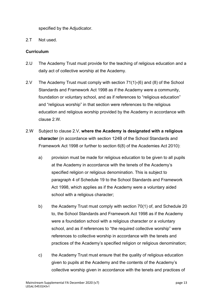specified by the Adjudicator.

2.T Not used.

#### **Curriculum**

- 2.U The Academy Trust must provide for the teaching of religious education and a daily act of collective worship at the Academy.
- 2.V The Academy Trust must comply with section 71(1)-(6) and (8) of the School Standards and Framework Act 1998 as if the Academy were a community, foundation or voluntary school, and as if references to "religious education" and "religious worship" in that section were references to the religious education and religious worship provided by the Academy in accordance with clause 2.W*.*
- 2.W Subject to clause 2.V, **where the Academy is designated with a religious character** (in accordance with section 124B of the School Standards and Framework Act 1998 or further to section 6(8) of the Academies Act 2010):
	- a) provision must be made for religious education to be given to all pupils at the Academy in accordance with the tenets of the Academy's specified religion or religious denomination. This is subject to paragraph 4 of Schedule 19 to the School Standards and Framework Act 1998, which applies as if the Academy were a voluntary aided school with a religious character;
	- b) the Academy Trust must comply with section 70(1) of, and Schedule 20 to, the School Standards and Framework Act 1998 as if the Academy were a foundation school with a religious character or a voluntary school, and as if references to "the required collective worship" were references to collective worship in accordance with the tenets and practices of the Academy's specified religion or religious denomination;
	- c) the Academy Trust must ensure that the quality of religious education given to pupils at the Academy and the contents of the Academy's collective worship given in accordance with the tenets and practices of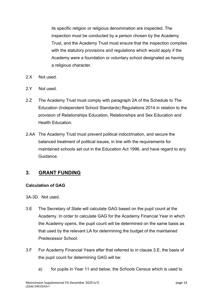its specific religion or religious denomination are inspected. The inspection must be conducted by a person chosen by the Academy Trust, and the Academy Trust must ensure that the inspection complies with the statutory provisions and regulations which would apply if the Academy were a foundation or voluntary school designated as having a religious character.

- 2.X Not used.
- 2.Y Not used.
- 2.Z The Academy Trust must comply with paragraph 2A of the Schedule to The Education (Independent School Standards) Regulations 2014 in relation to the provision of Relationships Education, Relationships and Sex Education and Health Education.
- 2.AA The Academy Trust must prevent political indoctrination, and secure the balanced treatment of political issues, in line with the requirements for maintained schools set out in the Education Act 1996, and have regard to any Guidance.

# <span id="page-13-0"></span>**3. GRANT FUNDING**

#### <span id="page-13-1"></span>**Calculation of GAG**

3A-3D. Not used.

- 3.E The Secretary of State will calculate GAG based on the pupil count at the Academy. In order to calculate GAG for the Academy Financial Year in which the Academy opens, the pupil count will be determined on the same basis as that used by the relevant LA for determining the budget of the maintained Predecessor School.
- 3.F For Academy Financial Years after that referred to in clause 3.E, the basis of the pupil count for determining GAG will be:
	- a) for pupils in Year 11 and below, the Schools Census which is used to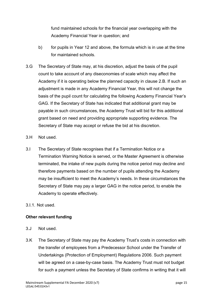fund maintained schools for the financial year overlapping with the Academy Financial Year in question; and

- b) for pupils in Year 12 and above, the formula which is in use at the time for maintained schools.
- 3.G The Secretary of State may, at his discretion, adjust the basis of the pupil count to take account of any diseconomies of scale which may affect the Academy if it is operating below the planned capacity in clause 2.B. If such an adjustment is made in any Academy Financial Year, this will not change the basis of the pupil count for calculating the following Academy Financial Year's GAG. If the Secretary of State has indicated that additional grant may be payable in such circumstances, the Academy Trust will bid for this additional grant based on need and providing appropriate supporting evidence. The Secretary of State may accept or refuse the bid at his discretion.
- 3.H Not used.
- 3.I The Secretary of State recognises that if a Termination Notice or a Termination Warning Notice is served, or the Master Agreement is otherwise terminated, the intake of new pupils during the notice period may decline and therefore payments based on the number of pupils attending the Academy may be insufficient to meet the Academy's needs. In these circumstances the Secretary of State may pay a larger GAG in the notice period, to enable the Academy to operate effectively.
- 3.I.1. Not used.

#### <span id="page-14-0"></span>**Other relevant funding**

- 3.J Not used.
- 3.K The Secretary of State may pay the Academy Trust's costs in connection with the transfer of employees from a Predecessor School under the Transfer of Undertakings (Protection of Employment) Regulations 2006. Such payment will be agreed on a case-by-case basis. The Academy Trust must not budget for such a payment unless the Secretary of State confirms in writing that it will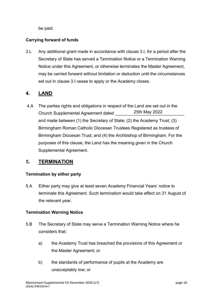be paid.

#### **Carrying forward of funds**

3.L Any additional grant made in accordance with clause 3.I, for a period after the Secretary of State has served a Termination Notice or a Termination Warning Notice under this Agreement, or otherwise terminates the Master Agreement, may be carried forward without limitation or deduction until the circumstances set out in clause 3.I cease to apply or the Academy closes.

# <span id="page-15-0"></span>**4. LAND**

4.A The parties rights and obligations in respect of the Land are set out in the Church Supplemental Agreement dated and made between (1) the Secretary of State; (2) the Academy Trust; (3) Birmingham Roman Catholic Diocesan Trustees Registered as trustees of Birmingham Diocesan Trust; and (4) the Archbishop of Birmingham. For the purposes of this clause, the Land has the meaning given in the Church Supplemental Agreement. 25th May 2022

# <span id="page-15-1"></span>**5. TERMINATION**

#### <span id="page-15-2"></span>**Termination by either party**

5.A Either party may give at least seven Academy Financial Years' notice to terminate this Agreement. Such termination would take effect on 31 August of the relevant year.

#### <span id="page-15-3"></span>**Termination Warning Notice**

- 5.B The Secretary of State may serve a Termination Warning Notice where he considers that:
	- a) the Academy Trust has breached the provisions of this Agreement or the Master Agreement; or
	- b) the standards of performance of pupils at the Academy are unacceptably low; or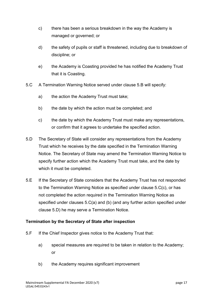- c) there has been a serious breakdown in the way the Academy is managed or governed; or
- d) the safety of pupils or staff is threatened, including due to breakdown of discipline; or
- e) the Academy is Coasting provided he has notified the Academy Trust that it is Coasting.
- 5.C A Termination Warning Notice served under clause 5.B will specify:
	- a) the action the Academy Trust must take;
	- b) the date by which the action must be completed; and
	- c) the date by which the Academy Trust must make any representations, or confirm that it agrees to undertake the specified action.
- 5.D The Secretary of State will consider any representations from the Academy Trust which he receives by the date specified in the Termination Warning Notice. The Secretary of State may amend the Termination Warning Notice to specify further action which the Academy Trust must take, and the date by which it must be completed.
- 5.E If the Secretary of State considers that the Academy Trust has not responded to the Termination Warning Notice as specified under clause 5.C(c), or has not completed the action required in the Termination Warning Notice as specified under clauses 5.C(a) and (b) (and any further action specified under clause 5.D) he may serve a Termination Notice.

#### <span id="page-16-0"></span>**Termination by the Secretary of State after inspection**

- 5.F If the Chief Inspector gives notice to the Academy Trust that:
	- a) special measures are required to be taken in relation to the Academy; or
	- b) the Academy requires significant improvement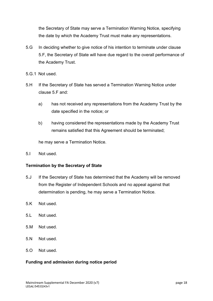the Secretary of State may serve a Termination Warning Notice, specifying the date by which the Academy Trust must make any representations.

- 5.G In deciding whether to give notice of his intention to terminate under clause 5.F, the Secretary of State will have due regard to the overall performance of the Academy Trust.
- 5.G.1 Not used.
- 5.H If the Secretary of State has served a Termination Warning Notice under clause 5.F and:
	- a) has not received any representations from the Academy Trust by the date specified in the notice; or
	- b) having considered the representations made by the Academy Trust remains satisfied that this Agreement should be terminated;

he may serve a Termination Notice.

5.I Not used.

#### <span id="page-17-0"></span>**Termination by the Secretary of State**

- 5.J If the Secretary of State has determined that the Academy will be removed from the Register of Independent Schools and no appeal against that determination is pending, he may serve a Termination Notice.
- 5.K Not used.
- 5.L Not used.
- 5.M Not used.
- 5.N Not used.
- 5.O Not used.

#### <span id="page-17-1"></span>**Funding and admission during notice period**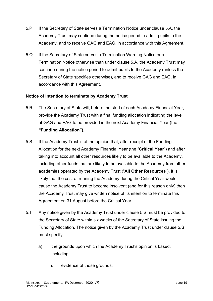- 5.P If the Secretary of State serves a Termination Notice under clause 5.A, the Academy Trust may continue during the notice period to admit pupils to the Academy, and to receive GAG and EAG, in accordance with this Agreement.
- 5.Q If the Secretary of State serves a Termination Warning Notice or a Termination Notice otherwise than under clause 5.A, the Academy Trust may continue during the notice period to admit pupils to the Academy (unless the Secretary of State specifies otherwise), and to receive GAG and EAG, in accordance with this Agreement.

#### <span id="page-18-0"></span>**Notice of intention to terminate by Academy Trust**

- 5.R The Secretary of State will, before the start of each Academy Financial Year, provide the Academy Trust with a final funding allocation indicating the level of GAG and EAG to be provided in the next Academy Financial Year (the **"Funding Allocation").**
- 5.S If the Academy Trust is of the opinion that, after receipt of the Funding Allocation for the next Academy Financial Year (the "**Critical Year**") and after taking into account all other resources likely to be available to the Academy, including other funds that are likely to be available to the Academy from other academies operated by the Academy Trust ("**All Other Resources**"), it is likely that the cost of running the Academy during the Critical Year would cause the Academy Trust to become insolvent (and for this reason only) then the Academy Trust may give written notice of its intention to terminate this Agreement on 31 August before the Critical Year.
- 5.T Any notice given by the Academy Trust under clause 5.S must be provided to the Secretary of State within six weeks of the Secretary of State issuing the Funding Allocation. The notice given by the Academy Trust under clause 5.S must specify:
	- a) the grounds upon which the Academy Trust's opinion is based, including:
		- i. evidence of those grounds;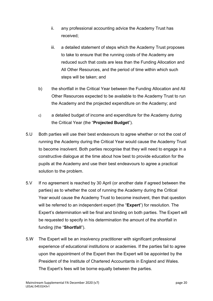- ii. any professional accounting advice the Academy Trust has received;
- iii. a detailed statement of steps which the Academy Trust proposes to take to ensure that the running costs of the Academy are reduced such that costs are less than the Funding Allocation and All Other Resources, and the period of time within which such steps will be taken; and
- b) the shortfall in the Critical Year between the Funding Allocation and All Other Resources expected to be available to the Academy Trust to run the Academy and the projected expenditure on the Academy; and
- c) a detailed budget of income and expenditure for the Academy during the Critical Year (the "**Projected Budget**").
- 5.U Both parties will use their best endeavours to agree whether or not the cost of running the Academy during the Critical Year would cause the Academy Trust to become insolvent. Both parties recognise that they will need to engage in a constructive dialogue at the time about how best to provide education for the pupils at the Academy and use their best endeavours to agree a practical solution to the problem.
- 5.V If no agreement is reached by 30 April (or another date if agreed between the parties) as to whether the cost of running the Academy during the Critical Year would cause the Academy Trust to become insolvent, then that question will be referred to an independent expert (the "**Expert**") for resolution. The Expert's determination will be final and binding on both parties. The Expert will be requested to specify in his determination the amount of the shortfall in funding (the "**Shortfall**").
- 5.W The Expert will be an insolvency practitioner with significant professional experience of educational institutions or academies. If the parties fail to agree upon the appointment of the Expert then the Expert will be appointed by the President of the Institute of Chartered Accountants in England and Wales. The Expert's fees will be borne equally between the parties.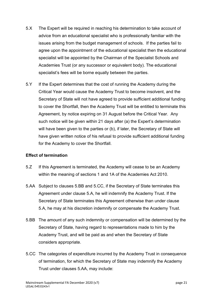- 5.X The Expert will be required in reaching his determination to take account of advice from an educational specialist who is professionally familiar with the issues arising from the budget management of schools. If the parties fail to agree upon the appointment of the educational specialist then the educational specialist will be appointed by the Chairman of the Specialist Schools and Academies Trust (or any successor or equivalent body). The educational specialist's fees will be borne equally between the parties.
- 5.Y If the Expert determines that the cost of running the Academy during the Critical Year would cause the Academy Trust to become insolvent, and the Secretary of State will not have agreed to provide sufficient additional funding to cover the Shortfall, then the Academy Trust will be entitled to terminate this Agreement, by notice expiring on 31 August before the Critical Year. Any such notice will be given within 21 days after (a) the Expert's determination will have been given to the parties or (b), if later, the Secretary of State will have given written notice of his refusal to provide sufficient additional funding for the Academy to cover the Shortfall.

#### <span id="page-20-0"></span>**Effect of termination**

- 5.Z If this Agreement is terminated, the Academy will cease to be an Academy within the meaning of sections 1 and 1A of the Academies Act 2010.
- 5.AA Subject to clauses 5.BB and 5.CC, if the Secretary of State terminates this Agreement under clause 5.A, he will indemnify the Academy Trust. If the Secretary of State terminates this Agreement otherwise than under clause 5.A, he may at his discretion indemnify or compensate the Academy Trust.
- 5.BB The amount of any such indemnity or compensation will be determined by the Secretary of State, having regard to representations made to him by the Academy Trust, and will be paid as and when the Secretary of State considers appropriate.
- 5.CC The categories of expenditure incurred by the Academy Trust in consequence of termination, for which the Secretary of State may indemnify the Academy Trust under clauses 5.AA, may include: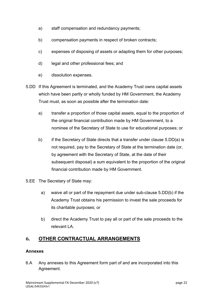- a) staff compensation and redundancy payments;
- b) compensation payments in respect of broken contracts;
- c) expenses of disposing of assets or adapting them for other purposes;
- d) legal and other professional fees; and
- e) dissolution expenses.
- 5.DD If this Agreement is terminated, and the Academy Trust owns capital assets which have been partly or wholly funded by HM Government, the Academy Trust must, as soon as possible after the termination date:
	- a) transfer a proportion of those capital assets, equal to the proportion of the original financial contribution made by HM Government, to a nominee of the Secretary of State to use for educational purposes; or
	- b) if the Secretary of State directs that a transfer under clause 5.DD(a) is not required, pay to the Secretary of State at the termination date (or, by agreement with the Secretary of State, at the date of their subsequent disposal) a sum equivalent to the proportion of the original financial contribution made by HM Government.
- 5.EE The Secretary of State may:
	- a) waive all or part of the repayment due under sub-clause 5.DD(b) if the Academy Trust obtains his permission to invest the sale proceeds for its charitable purposes; or
	- b) direct the Academy Trust to pay all or part of the sale proceeds to the relevant LA.

### <span id="page-21-0"></span>**6. OTHER CONTRACTUAL ARRANGEMENTS**

#### <span id="page-21-1"></span>**Annexes**

6.A Any annexes to this Agreement form part of and are incorporated into this Agreement.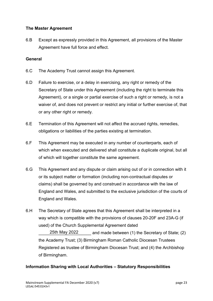#### <span id="page-22-0"></span>**The Master Agreement**

6.B Except as expressly provided in this Agreement, all provisions of the Master Agreement have full force and effect.

#### <span id="page-22-1"></span>**General**

- 6.C The Academy Trust cannot assign this Agreement.
- 6.D Failure to exercise, or a delay in exercising, any right or remedy of the Secretary of State under this Agreement (including the right to terminate this Agreement), or a single or partial exercise of such a right or remedy, is not a waiver of, and does not prevent or restrict any initial or further exercise of, that or any other right or remedy.
- 6.E Termination of this Agreement will not affect the accrued rights, remedies, obligations or liabilities of the parties existing at termination.
- 6.F This Agreement may be executed in any number of counterparts, each of which when executed and delivered shall constitute a duplicate original, but all of which will together constitute the same agreement.
- 6.G This Agreement and any dispute or claim arising out of or in connection with it or its subject matter or formation (including non-contractual disputes or claims) shall be governed by and construed in accordance with the law of England and Wales, and submitted to the exclusive jurisdiction of the courts of England and Wales.
- 6.H The Secretary of State agrees that this Agreement shall be interpreted in a way which is compatible with the provisions of clauses 20-20F and 23A-G (if used) of the Church Supplemental Agreement dated

25th May 2022 and made between (1) the Secretary of State; (2) the Academy Trust; (3) Birmingham Roman Catholic Diocesan Trustees Registered as trustee of Birmingham Diocesan Trust; and (4) the Archbishop of Birmingham.

#### <span id="page-22-2"></span>**Information Sharing with Local Authorities – Statutory Responsibilities**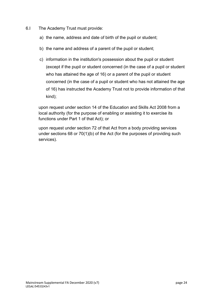- 6.I The Academy Trust must provide:
	- a) the name, address and date of birth of the pupil or student;
	- b) the name and address of a parent of the pupil or student;
	- c) information in the institution's possession about the pupil or student (except if the pupil or student concerned (in the case of a pupil or student who has attained the age of 16) or a parent of the pupil or student concerned (in the case of a pupil or student who has not attained the age of 16) has instructed the Academy Trust not to provide information of that kind);

upon request under section 14 of the Education and Skills Act 2008 from a local authority (for the purpose of enabling or assisting it to exercise its functions under Part 1 of that Act); or

upon request under section 72 of that Act from a body providing services under sections 68 or 70(1)(b) of the Act (for the purposes of providing such services).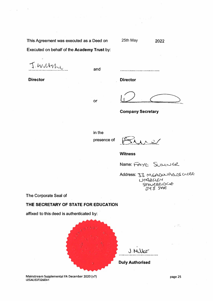Mainstream Supplemental FA December 2020 (v7} LEGAL\53732603v1

page 25

÷.



**THE SECRETARY OF STATE FOR EDUCATION** 

affixed to this deed is authenticated by:

# The Corporate Seal of

Name: FAYE SUMNER

Address: 33 MGADOURGDS CLOSE lJ cr-12.C.S lf:-'--/ \$"TI.5VUCU Du€- D'1 *t* Y'A·e

presence of

**Company Secretary** 

Executed on behalf of the **Academy Trust** by:

This Agreement was executed as a Deed on

J. Wilthi

**Director** 

,,,,,,,,,,,,,,,,,,,,,,,,,,,,,,

25th May

**Director** 

2022

or

and

in the

 $112$ 

**Witness**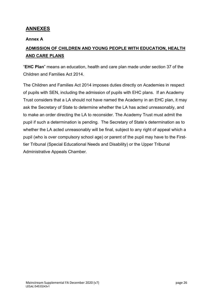# <span id="page-25-0"></span>**ANNEXES**

#### **Annex A**

# <span id="page-25-1"></span>**ADMISSION OF CHILDREN AND YOUNG PEOPLE WITH EDUCATION, HEALTH AND CARE PLANS**

"**EHC Plan**" means an education, health and care plan made under section 37 of the Children and Families Act 2014.

The Children and Families Act 2014 imposes duties directly on Academies in respect of pupils with SEN, including the admission of pupils with EHC plans. If an Academy Trust considers that a LA should not have named the Academy in an EHC plan, it may ask the Secretary of State to determine whether the LA has acted unreasonably, and to make an order directing the LA to reconsider. The Academy Trust must admit the pupil if such a determination is pending. The Secretary of State's determination as to whether the LA acted unreasonably will be final, subject to any right of appeal which a pupil (who is over compulsory school age) or parent of the pupil may have to the Firsttier Tribunal (Special Educational Needs and Disability) or the Upper Tribunal Administrative Appeals Chamber.